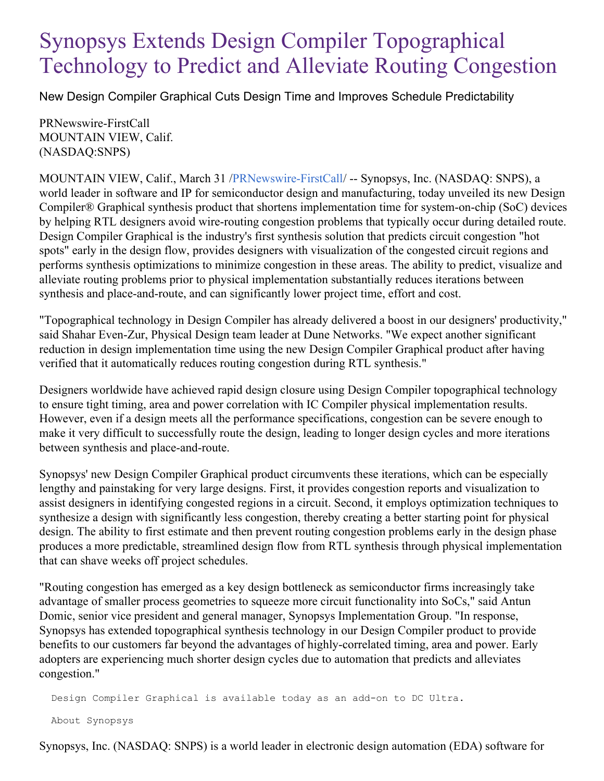## Synopsys Extends Design Compiler Topographical Technology to Predict and Alleviate Routing Congestion

New Design Compiler Graphical Cuts Design Time and Improves Schedule Predictability

PRNewswire-FirstCall MOUNTAIN VIEW, Calif. (NASDAQ:SNPS)

MOUNTAIN VIEW, Calif., March 31 /[PRNewswire-FirstCall](http://www.prnewswire.com/)/ -- Synopsys, Inc. (NASDAQ: SNPS), a world leader in software and IP for semiconductor design and manufacturing, today unveiled its new Design Compiler® Graphical synthesis product that shortens implementation time for system-on-chip (SoC) devices by helping RTL designers avoid wire-routing congestion problems that typically occur during detailed route. Design Compiler Graphical is the industry's first synthesis solution that predicts circuit congestion "hot spots" early in the design flow, provides designers with visualization of the congested circuit regions and performs synthesis optimizations to minimize congestion in these areas. The ability to predict, visualize and alleviate routing problems prior to physical implementation substantially reduces iterations between synthesis and place-and-route, and can significantly lower project time, effort and cost.

"Topographical technology in Design Compiler has already delivered a boost in our designers' productivity," said Shahar Even-Zur, Physical Design team leader at Dune Networks. "We expect another significant reduction in design implementation time using the new Design Compiler Graphical product after having verified that it automatically reduces routing congestion during RTL synthesis."

Designers worldwide have achieved rapid design closure using Design Compiler topographical technology to ensure tight timing, area and power correlation with IC Compiler physical implementation results. However, even if a design meets all the performance specifications, congestion can be severe enough to make it very difficult to successfully route the design, leading to longer design cycles and more iterations between synthesis and place-and-route.

Synopsys' new Design Compiler Graphical product circumvents these iterations, which can be especially lengthy and painstaking for very large designs. First, it provides congestion reports and visualization to assist designers in identifying congested regions in a circuit. Second, it employs optimization techniques to synthesize a design with significantly less congestion, thereby creating a better starting point for physical design. The ability to first estimate and then prevent routing congestion problems early in the design phase produces a more predictable, streamlined design flow from RTL synthesis through physical implementation that can shave weeks off project schedules.

"Routing congestion has emerged as a key design bottleneck as semiconductor firms increasingly take advantage of smaller process geometries to squeeze more circuit functionality into SoCs," said Antun Domic, senior vice president and general manager, Synopsys Implementation Group. "In response, Synopsys has extended topographical synthesis technology in our Design Compiler product to provide benefits to our customers far beyond the advantages of highly-correlated timing, area and power. Early adopters are experiencing much shorter design cycles due to automation that predicts and alleviates congestion."

Design Compiler Graphical is available today as an add-on to DC Ultra.

About Synopsys

Synopsys, Inc. (NASDAQ: SNPS) is a world leader in electronic design automation (EDA) software for